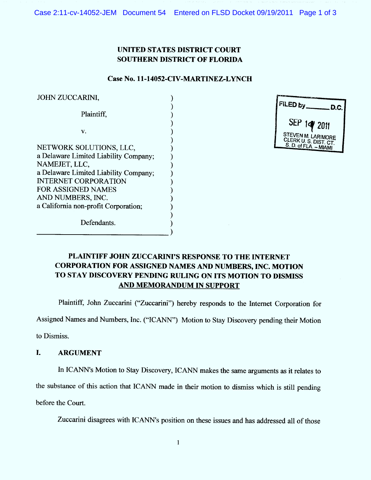Case 2:11-cv-14052-JEM Document 54 Entered on FLSD Docket 09/19/2011 Page 1 of 3

## UNITED STATES DISTRICT COURT **SOUTHERN DISTRICT OF FLORIDA**

## Case No. 11-14052-CIV-MARTINEZ-LYNCH

 $\lambda$ 

| <b>JOHN ZUCCARINI,</b>                                                                                                                                                                                                                       |
|----------------------------------------------------------------------------------------------------------------------------------------------------------------------------------------------------------------------------------------------|
| Plaintiff,                                                                                                                                                                                                                                   |
| V.                                                                                                                                                                                                                                           |
| NETWORK SOLUTIONS, LLC,<br>a Delaware Limited Liability Company;<br>NAMEJET, LLC,<br>a Delaware Limited Liability Company;<br><b>INTERNET CORPORATION</b><br>FOR ASSIGNED NAMES<br>AND NUMBERS, INC.<br>a California non-profit Corporation; |
| Defendants.                                                                                                                                                                                                                                  |

| FILED by __<br>D.C.                                                  |
|----------------------------------------------------------------------|
| SEP 14 2011                                                          |
| STEVEN M. LARIMORE<br>CLERK U. S. DIST. CT.<br>S. D. of FLA. - MIAMI |

# PLAINTIFF JOHN ZUCCARINI'S RESPONSE TO THE INTERNET **CORPORATION FOR ASSIGNED NAMES AND NUMBERS, INC. MOTION** TO STAY DISCOVERY PENDING RULING ON ITS MOTION TO DISMISS **AND MEMORANDUM IN SUPPORT**

Plaintiff, John Zuccarini ("Zuccarini") hereby responds to the Internet Corporation for

Assigned Names and Numbers, Inc. ("ICANN") Motion to Stay Discovery pending their Motion

to Dismiss.

#### $\mathbf{L}$ **ARGUMENT**

In ICANN's Motion to Stay Discovery, ICANN makes the same arguments as it relates to the substance of this action that ICANN made in their motion to dismiss which is still pending before the Court.

Zuccarini disagrees with ICANN's position on these issues and has addressed all of those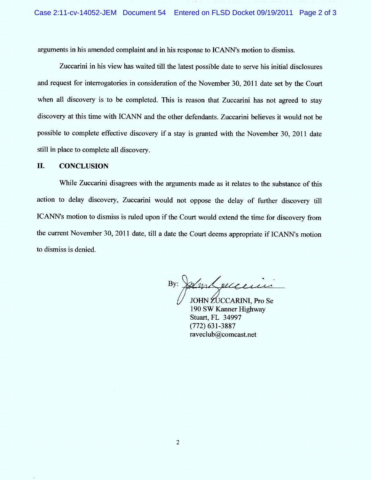arguments in his amended complaint and in his response to ICANN's motion to dismiss.

Zuccarini in his view has waited till the latest possible date to serve his initial disclosures and request for interrogatories in consideration of the November 30, 2011 date set by the Court when all discovery is to be completed. This is reason that Zuccarini has not agreed to stay discovery at this time with ICANN and the other defendants. Zuccarini believes it would not be possible to complete effective discovery if a stay is granted with the November 30, 2011 date still in place to complete all discovery.

#### II. CONCLUSION

While Zuccarini disagrees with the arguments made as it relates to the substance of this action to delay discovery, Zuccarini would not oppose the delay of further discovery till ICANN's motion to dismiss is ruled upon if the Court would extend the time for discovery from the current November 30, 2011 date, till a date the Court deems appropriate if ICANN's motion to dismiss is denied.

And execusive By:

JOHN ZUCCARINI, Pro Se 190 SW Kanner Highway Stuart, FL 34997 (772) 631-3887 raveclub@comcast.net